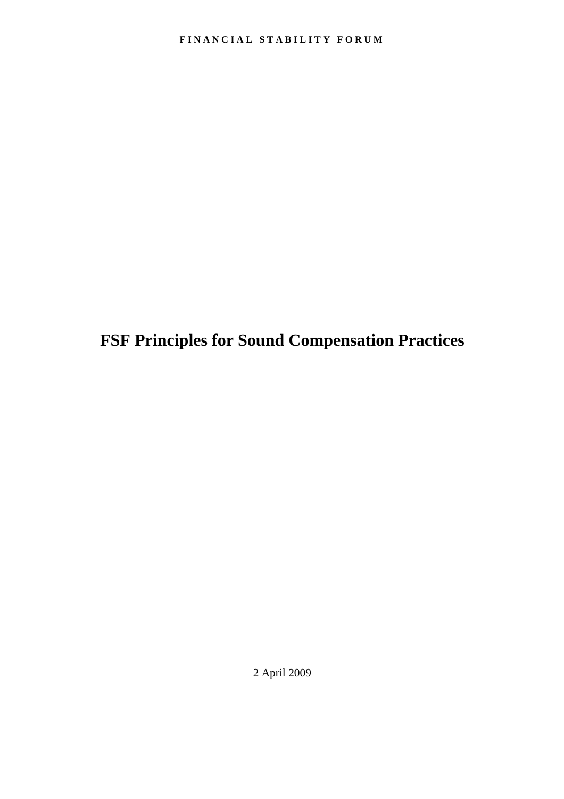**FSF Principles for Sound Compensation Practices** 

2 April 2009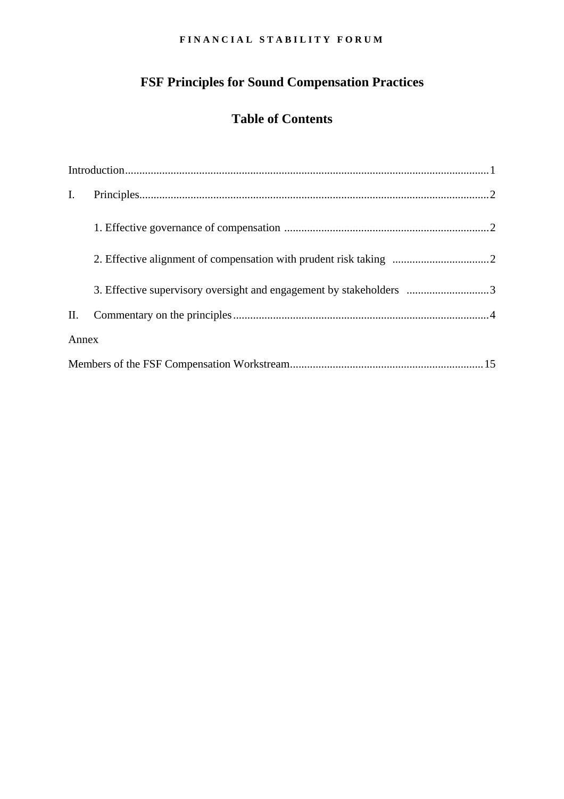# **FSF Principles for Sound Compensation Practices**

# **Table of Contents**

| $\mathbf{I}$ . |                                                                     |  |
|----------------|---------------------------------------------------------------------|--|
|                |                                                                     |  |
|                |                                                                     |  |
|                |                                                                     |  |
|                | 3. Effective supervisory oversight and engagement by stakeholders 3 |  |
| II.            |                                                                     |  |
| Annex          |                                                                     |  |
|                |                                                                     |  |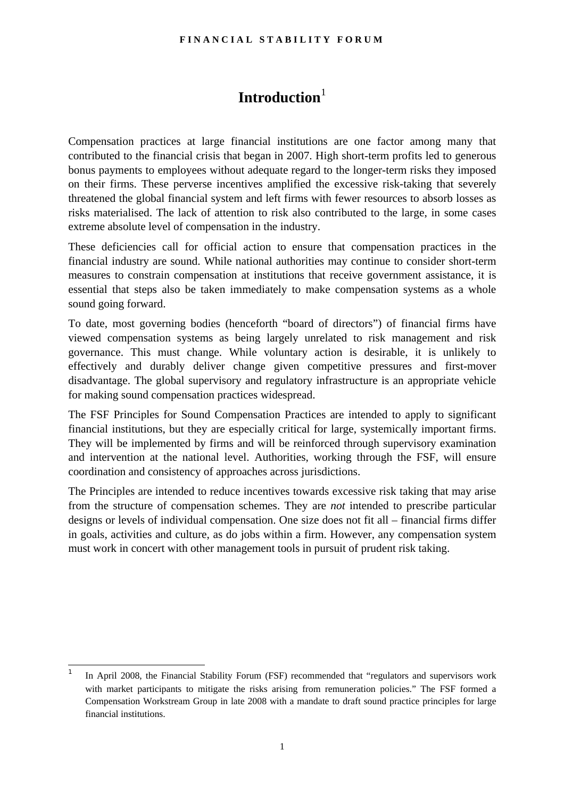# Introduction<sup>[1](#page-2-1)</sup>

<span id="page-2-0"></span>Compensation practices at large financial institutions are one factor among many that contributed to the financial crisis that began in 2007. High short-term profits led to generous bonus payments to employees without adequate regard to the longer-term risks they imposed on their firms. These perverse incentives amplified the excessive risk-taking that severely threatened the global financial system and left firms with fewer resources to absorb losses as risks materialised. The lack of attention to risk also contributed to the large, in some cases extreme absolute level of compensation in the industry.

These deficiencies call for official action to ensure that compensation practices in the financial industry are sound. While national authorities may continue to consider short-term measures to constrain compensation at institutions that receive government assistance, it is essential that steps also be taken immediately to make compensation systems as a whole sound going forward.

To date, most governing bodies (henceforth "board of directors") of financial firms have viewed compensation systems as being largely unrelated to risk management and risk governance. This must change. While voluntary action is desirable, it is unlikely to effectively and durably deliver change given competitive pressures and first-mover disadvantage. The global supervisory and regulatory infrastructure is an appropriate vehicle for making sound compensation practices widespread.

The FSF Principles for Sound Compensation Practices are intended to apply to significant financial institutions, but they are especially critical for large, systemically important firms. They will be implemented by firms and will be reinforced through supervisory examination and intervention at the national level. Authorities, working through the FSF, will ensure coordination and consistency of approaches across jurisdictions.

The Principles are intended to reduce incentives towards excessive risk taking that may arise from the structure of compensation schemes. They are *not* intended to prescribe particular designs or levels of individual compensation. One size does not fit all – financial firms differ in goals, activities and culture, as do jobs within a firm. However, any compensation system must work in concert with other management tools in pursuit of prudent risk taking.

<span id="page-2-1"></span><sup>|&</sup>lt;br>1 In April 2008, the Financial Stability Forum (FSF) recommended that "regulators and supervisors work with market participants to mitigate the risks arising from remuneration policies." The FSF formed a Compensation Workstream Group in late 2008 with a mandate to draft sound practice principles for large financial institutions.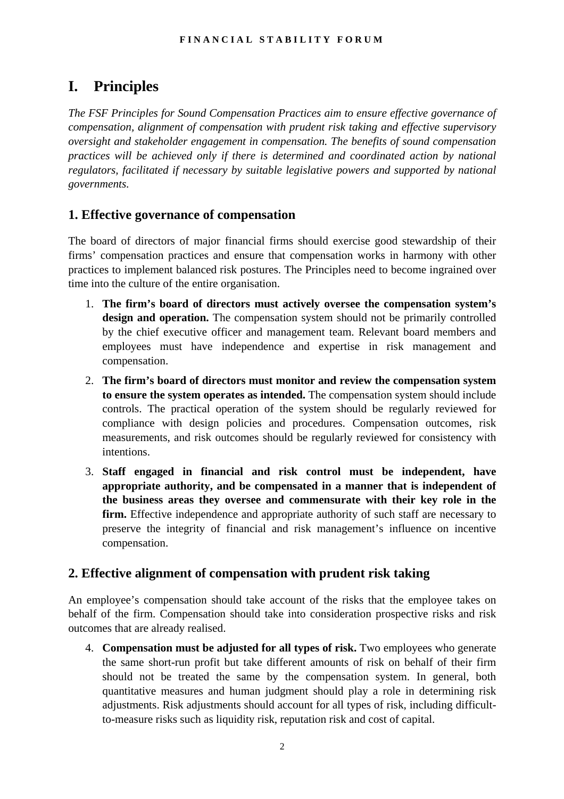# <span id="page-3-0"></span>**I. Principles**

*The FSF Principles for Sound Compensation Practices aim to ensure effective governance of compensation, alignment of compensation with prudent risk taking and effective supervisory oversight and stakeholder engagement in compensation. The benefits of sound compensation practices will be achieved only if there is determined and coordinated action by national regulators, facilitated if necessary by suitable legislative powers and supported by national governments.* 

# **1. Effective governance of compensation**

The board of directors of major financial firms should exercise good stewardship of their firms' compensation practices and ensure that compensation works in harmony with other practices to implement balanced risk postures. The Principles need to become ingrained over time into the culture of the entire organisation.

- 1. **The firm's board of directors must actively oversee the compensation system's design and operation.** The compensation system should not be primarily controlled by the chief executive officer and management team. Relevant board members and employees must have independence and expertise in risk management and compensation.
- 2. **The firm's board of directors must monitor and review the compensation system to ensure the system operates as intended.** The compensation system should include controls. The practical operation of the system should be regularly reviewed for compliance with design policies and procedures. Compensation outcomes, risk measurements, and risk outcomes should be regularly reviewed for consistency with intentions.
- 3. **Staff engaged in financial and risk control must be independent, have appropriate authority, and be compensated in a manner that is independent of the business areas they oversee and commensurate with their key role in the firm.** Effective independence and appropriate authority of such staff are necessary to preserve the integrity of financial and risk management's influence on incentive compensation.

# **2. Effective alignment of compensation with prudent risk taking**

An employee's compensation should take account of the risks that the employee takes on behalf of the firm. Compensation should take into consideration prospective risks and risk outcomes that are already realised.

4. **Compensation must be adjusted for all types of risk.** Two employees who generate the same short-run profit but take different amounts of risk on behalf of their firm should not be treated the same by the compensation system. In general, both quantitative measures and human judgment should play a role in determining risk adjustments. Risk adjustments should account for all types of risk, including difficultto-measure risks such as liquidity risk, reputation risk and cost of capital.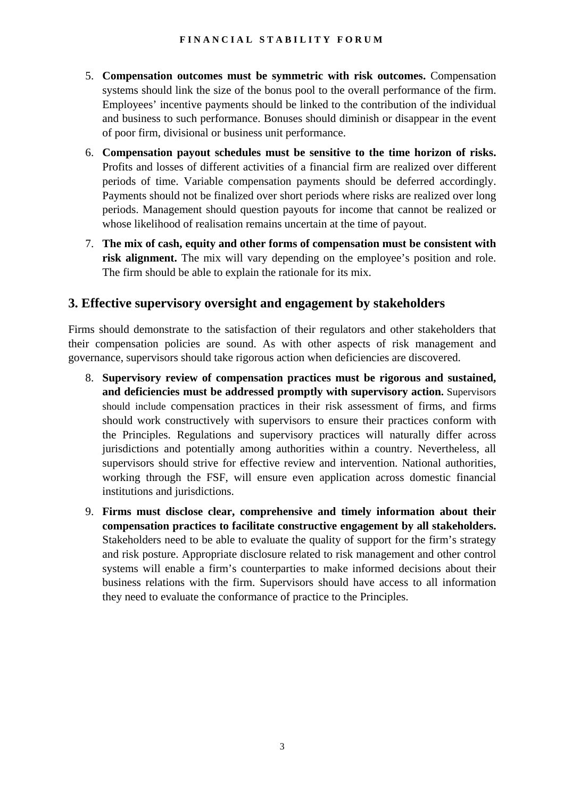- 5. **Compensation outcomes must be symmetric with risk outcomes.** Compensation systems should link the size of the bonus pool to the overall performance of the firm. Employees' incentive payments should be linked to the contribution of the individual and business to such performance. Bonuses should diminish or disappear in the event of poor firm, divisional or business unit performance.
- 6. **Compensation payout schedules must be sensitive to the time horizon of risks.** Profits and losses of different activities of a financial firm are realized over different periods of time. Variable compensation payments should be deferred accordingly. Payments should not be finalized over short periods where risks are realized over long periods. Management should question payouts for income that cannot be realized or whose likelihood of realisation remains uncertain at the time of payout.
- 7. **The mix of cash, equity and other forms of compensation must be consistent with risk alignment.** The mix will vary depending on the employee's position and role. The firm should be able to explain the rationale for its mix.

# **3. Effective supervisory oversight and engagement by stakeholders**

Firms should demonstrate to the satisfaction of their regulators and other stakeholders that their compensation policies are sound. As with other aspects of risk management and governance, supervisors should take rigorous action when deficiencies are discovered.

- 8. **Supervisory review of compensation practices must be rigorous and sustained, and deficiencies must be addressed promptly with supervisory action.** Supervisors should include compensation practices in their risk assessment of firms, and firms should work constructively with supervisors to ensure their practices conform with the Principles. Regulations and supervisory practices will naturally differ across jurisdictions and potentially among authorities within a country. Nevertheless, all supervisors should strive for effective review and intervention. National authorities, working through the FSF, will ensure even application across domestic financial institutions and jurisdictions.
- 9. **Firms must disclose clear, comprehensive and timely information about their compensation practices to facilitate constructive engagement by all stakeholders.** Stakeholders need to be able to evaluate the quality of support for the firm's strategy and risk posture. Appropriate disclosure related to risk management and other control systems will enable a firm's counterparties to make informed decisions about their business relations with the firm. Supervisors should have access to all information they need to evaluate the conformance of practice to the Principles.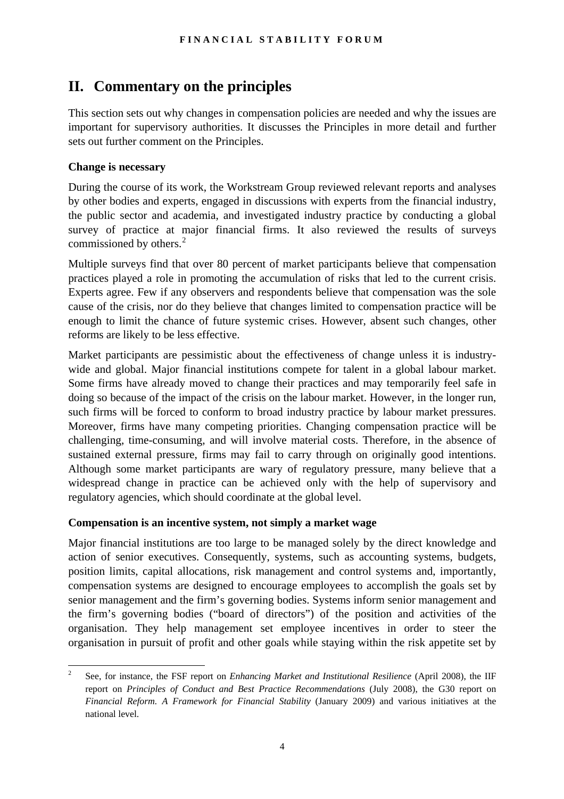# <span id="page-5-0"></span>**II. Commentary on the principles**

This section sets out why changes in compensation policies are needed and why the issues are important for supervisory authorities. It discusses the Principles in more detail and further sets out further comment on the Principles.

## **Change is necessary**

During the course of its work, the Workstream Group reviewed relevant reports and analyses by other bodies and experts, engaged in discussions with experts from the financial industry, the public sector and academia, and investigated industry practice by conducting a global survey of practice at major financial firms. It also reviewed the results of surveys commissioned by others. $2$ 

Multiple surveys find that over 80 percent of market participants believe that compensation practices played a role in promoting the accumulation of risks that led to the current crisis. Experts agree. Few if any observers and respondents believe that compensation was the sole cause of the crisis, nor do they believe that changes limited to compensation practice will be enough to limit the chance of future systemic crises. However, absent such changes, other reforms are likely to be less effective.

Market participants are pessimistic about the effectiveness of change unless it is industrywide and global. Major financial institutions compete for talent in a global labour market. Some firms have already moved to change their practices and may temporarily feel safe in doing so because of the impact of the crisis on the labour market. However, in the longer run, such firms will be forced to conform to broad industry practice by labour market pressures. Moreover, firms have many competing priorities. Changing compensation practice will be challenging, time-consuming, and will involve material costs. Therefore, in the absence of sustained external pressure, firms may fail to carry through on originally good intentions. Although some market participants are wary of regulatory pressure, many believe that a widespread change in practice can be achieved only with the help of supervisory and regulatory agencies, which should coordinate at the global level.

## **Compensation is an incentive system, not simply a market wage**

Major financial institutions are too large to be managed solely by the direct knowledge and action of senior executives. Consequently, systems, such as accounting systems, budgets, position limits, capital allocations, risk management and control systems and, importantly, compensation systems are designed to encourage employees to accomplish the goals set by senior management and the firm's governing bodies. Systems inform senior management and the firm's governing bodies ("board of directors") of the position and activities of the organisation. They help management set employee incentives in order to steer the organisation in pursuit of profit and other goals while staying within the risk appetite set by

<span id="page-5-1"></span> $\frac{1}{2}$  See, for instance, the FSF report on *Enhancing Market and Institutional Resilience* (April 2008), the IIF report on *Principles of Conduct and Best Practice Recommendations* (July 2008), the G30 report on *Financial Reform. A Framework for Financial Stability* (January 2009) and various initiatives at the national level.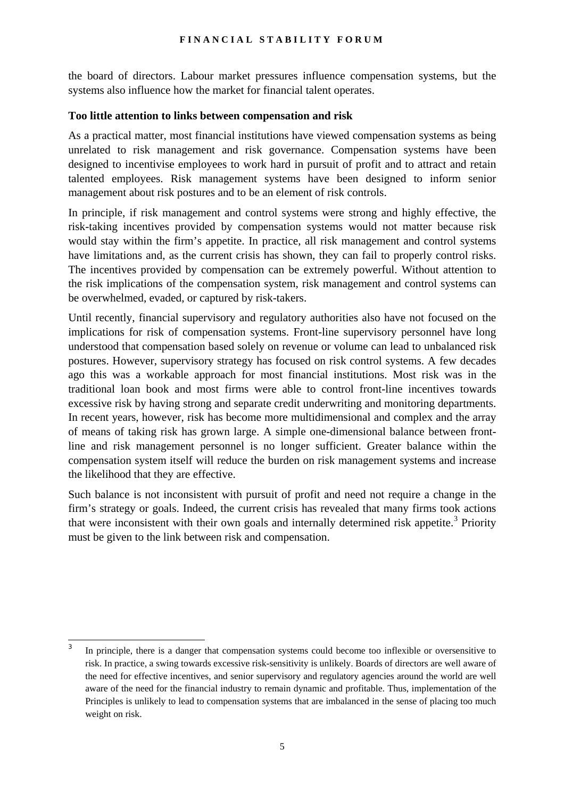the board of directors. Labour market pressures influence compensation systems, but the systems also influence how the market for financial talent operates.

### **Too little attention to links between compensation and risk**

As a practical matter, most financial institutions have viewed compensation systems as being unrelated to risk management and risk governance. Compensation systems have been designed to incentivise employees to work hard in pursuit of profit and to attract and retain talented employees. Risk management systems have been designed to inform senior management about risk postures and to be an element of risk controls.

In principle, if risk management and control systems were strong and highly effective, the risk-taking incentives provided by compensation systems would not matter because risk would stay within the firm's appetite. In practice, all risk management and control systems have limitations and, as the current crisis has shown, they can fail to properly control risks. The incentives provided by compensation can be extremely powerful. Without attention to the risk implications of the compensation system, risk management and control systems can be overwhelmed, evaded, or captured by risk-takers.

Until recently, financial supervisory and regulatory authorities also have not focused on the implications for risk of compensation systems. Front-line supervisory personnel have long understood that compensation based solely on revenue or volume can lead to unbalanced risk postures. However, supervisory strategy has focused on risk control systems. A few decades ago this was a workable approach for most financial institutions. Most risk was in the traditional loan book and most firms were able to control front-line incentives towards excessive risk by having strong and separate credit underwriting and monitoring departments. In recent years, however, risk has become more multidimensional and complex and the array of means of taking risk has grown large. A simple one-dimensional balance between frontline and risk management personnel is no longer sufficient. Greater balance within the compensation system itself will reduce the burden on risk management systems and increase the likelihood that they are effective.

Such balance is not inconsistent with pursuit of profit and need not require a change in the firm's strategy or goals. Indeed, the current crisis has revealed that many firms took actions that were inconsistent with their own goals and internally determined risk appetite.<sup>[3](#page-6-0)</sup> Priority must be given to the link between risk and compensation.

<span id="page-6-0"></span><sup>|&</sup>lt;br>3 In principle, there is a danger that compensation systems could become too inflexible or oversensitive to risk. In practice, a swing towards excessive risk-sensitivity is unlikely. Boards of directors are well aware of the need for effective incentives, and senior supervisory and regulatory agencies around the world are well aware of the need for the financial industry to remain dynamic and profitable. Thus, implementation of the Principles is unlikely to lead to compensation systems that are imbalanced in the sense of placing too much weight on risk.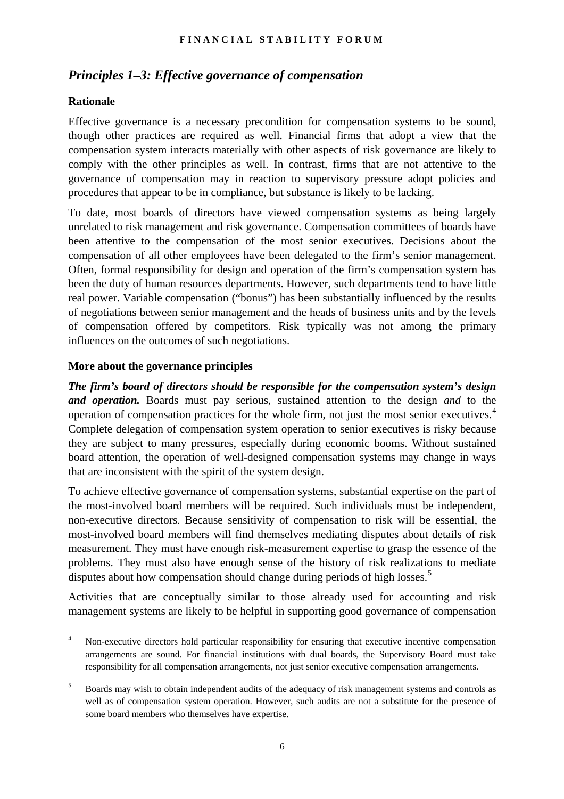# *Principles 1–3: Effective governance of compensation*

### **Rationale**

Effective governance is a necessary precondition for compensation systems to be sound, though other practices are required as well. Financial firms that adopt a view that the compensation system interacts materially with other aspects of risk governance are likely to comply with the other principles as well. In contrast, firms that are not attentive to the governance of compensation may in reaction to supervisory pressure adopt policies and procedures that appear to be in compliance, but substance is likely to be lacking.

To date, most boards of directors have viewed compensation systems as being largely unrelated to risk management and risk governance. Compensation committees of boards have been attentive to the compensation of the most senior executives. Decisions about the compensation of all other employees have been delegated to the firm's senior management. Often, formal responsibility for design and operation of the firm's compensation system has been the duty of human resources departments. However, such departments tend to have little real power. Variable compensation ("bonus") has been substantially influenced by the results of negotiations between senior management and the heads of business units and by the levels of compensation offered by competitors. Risk typically was not among the primary influences on the outcomes of such negotiations.

### **More about the governance principles**

*The firm's board of directors should be responsible for the compensation system's design and operation.* Boards must pay serious, sustained attention to the design *and* to the operation of compensation practices for the whole firm, not just the most senior executives.[4](#page-7-0) Complete delegation of compensation system operation to senior executives is risky because they are subject to many pressures, especially during economic booms. Without sustained board attention, the operation of well-designed compensation systems may change in ways that are inconsistent with the spirit of the system design.

To achieve effective governance of compensation systems, substantial expertise on the part of the most-involved board members will be required. Such individuals must be independent, non-executive directors. Because sensitivity of compensation to risk will be essential, the most-involved board members will find themselves mediating disputes about details of risk measurement. They must have enough risk-measurement expertise to grasp the essence of the problems. They must also have enough sense of the history of risk realizations to mediate disputes about how compensation should change during periods of high losses.<sup>[5](#page-7-1)</sup>

Activities that are conceptually similar to those already used for accounting and risk management systems are likely to be helpful in supporting good governance of compensation

<span id="page-7-0"></span> $\frac{1}{4}$  Non-executive directors hold particular responsibility for ensuring that executive incentive compensation arrangements are sound. For financial institutions with dual boards, the Supervisory Board must take responsibility for all compensation arrangements, not just senior executive compensation arrangements.

<span id="page-7-1"></span><sup>5</sup> Boards may wish to obtain independent audits of the adequacy of risk management systems and controls as well as of compensation system operation. However, such audits are not a substitute for the presence of some board members who themselves have expertise.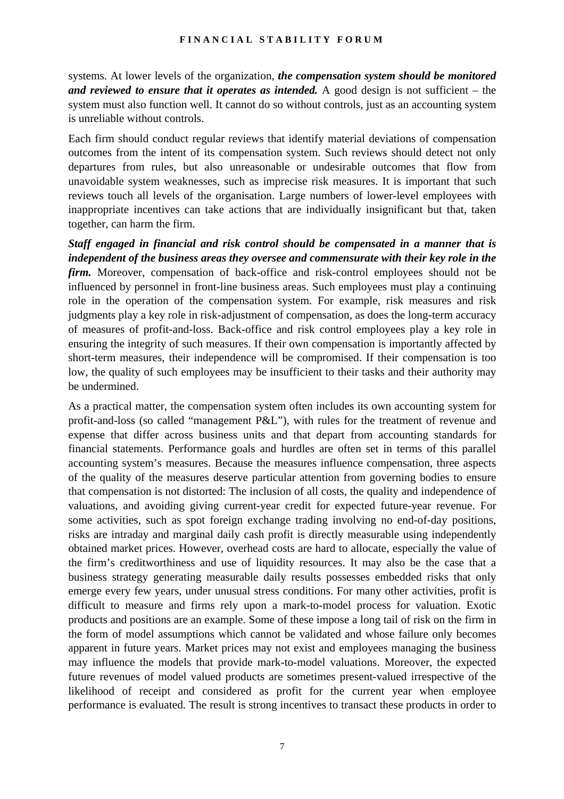systems. At lower levels of the organization, *the compensation system should be monitored and reviewed to ensure that it operates as intended.* A good design is not sufficient – the system must also function well. It cannot do so without controls, just as an accounting system is unreliable without controls.

Each firm should conduct regular reviews that identify material deviations of compensation outcomes from the intent of its compensation system. Such reviews should detect not only departures from rules, but also unreasonable or undesirable outcomes that flow from unavoidable system weaknesses, such as imprecise risk measures. It is important that such reviews touch all levels of the organisation. Large numbers of lower-level employees with inappropriate incentives can take actions that are individually insignificant but that, taken together, can harm the firm.

*Staff engaged in financial and risk control should be compensated in a manner that is independent of the business areas they oversee and commensurate with their key role in the firm.* Moreover, compensation of back-office and risk-control employees should not be influenced by personnel in front-line business areas. Such employees must play a continuing role in the operation of the compensation system. For example, risk measures and risk judgments play a key role in risk-adjustment of compensation, as does the long-term accuracy of measures of profit-and-loss. Back-office and risk control employees play a key role in ensuring the integrity of such measures. If their own compensation is importantly affected by short-term measures, their independence will be compromised. If their compensation is too low, the quality of such employees may be insufficient to their tasks and their authority may be undermined.

As a practical matter, the compensation system often includes its own accounting system for profit-and-loss (so called "management P&L"), with rules for the treatment of revenue and expense that differ across business units and that depart from accounting standards for financial statements. Performance goals and hurdles are often set in terms of this parallel accounting system's measures. Because the measures influence compensation, three aspects of the quality of the measures deserve particular attention from governing bodies to ensure that compensation is not distorted: The inclusion of all costs, the quality and independence of valuations, and avoiding giving current-year credit for expected future-year revenue. For some activities, such as spot foreign exchange trading involving no end-of-day positions, risks are intraday and marginal daily cash profit is directly measurable using independently obtained market prices. However, overhead costs are hard to allocate, especially the value of the firm's creditworthiness and use of liquidity resources. It may also be the case that a business strategy generating measurable daily results possesses embedded risks that only emerge every few years, under unusual stress conditions. For many other activities, profit is difficult to measure and firms rely upon a mark-to-model process for valuation. Exotic products and positions are an example. Some of these impose a long tail of risk on the firm in the form of model assumptions which cannot be validated and whose failure only becomes apparent in future years. Market prices may not exist and employees managing the business may influence the models that provide mark-to-model valuations. Moreover, the expected future revenues of model valued products are sometimes present-valued irrespective of the likelihood of receipt and considered as profit for the current year when employee performance is evaluated. The result is strong incentives to transact these products in order to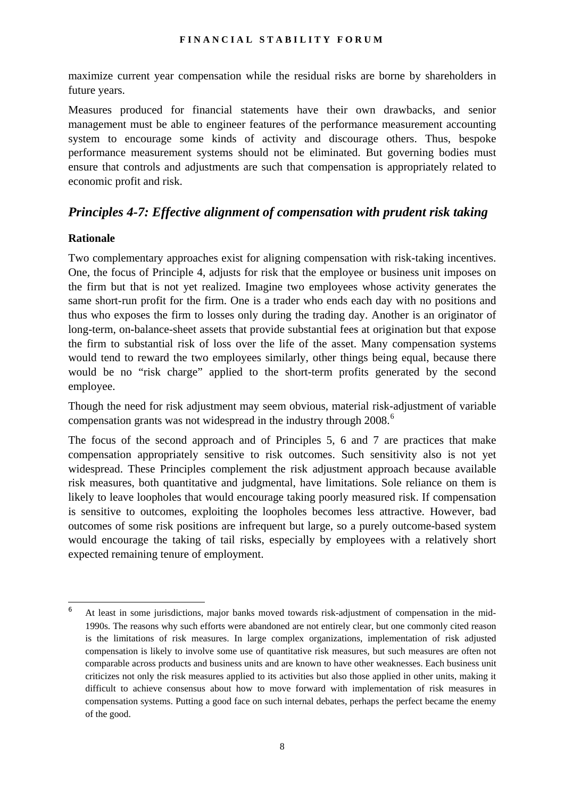maximize current year compensation while the residual risks are borne by shareholders in future years.

Measures produced for financial statements have their own drawbacks, and senior management must be able to engineer features of the performance measurement accounting system to encourage some kinds of activity and discourage others. Thus, bespoke performance measurement systems should not be eliminated. But governing bodies must ensure that controls and adjustments are such that compensation is appropriately related to economic profit and risk.

# *Principles 4-7: Effective alignment of compensation with prudent risk taking*

### **Rationale**

Two complementary approaches exist for aligning compensation with risk-taking incentives. One, the focus of Principle 4, adjusts for risk that the employee or business unit imposes on the firm but that is not yet realized. Imagine two employees whose activity generates the same short-run profit for the firm. One is a trader who ends each day with no positions and thus who exposes the firm to losses only during the trading day. Another is an originator of long-term, on-balance-sheet assets that provide substantial fees at origination but that expose the firm to substantial risk of loss over the life of the asset. Many compensation systems would tend to reward the two employees similarly, other things being equal, because there would be no "risk charge" applied to the short-term profits generated by the second employee.

Though the need for risk adjustment may seem obvious, material risk-adjustment of variable compensation grants was not widespread in the industry through 2008.<sup>[6](#page-9-0)</sup>

The focus of the second approach and of Principles 5, 6 and 7 are practices that make compensation appropriately sensitive to risk outcomes. Such sensitivity also is not yet widespread. These Principles complement the risk adjustment approach because available risk measures, both quantitative and judgmental, have limitations. Sole reliance on them is likely to leave loopholes that would encourage taking poorly measured risk. If compensation is sensitive to outcomes, exploiting the loopholes becomes less attractive. However, bad outcomes of some risk positions are infrequent but large, so a purely outcome-based system would encourage the taking of tail risks, especially by employees with a relatively short expected remaining tenure of employment.

<span id="page-9-0"></span> 6 At least in some jurisdictions, major banks moved towards risk-adjustment of compensation in the mid-1990s. The reasons why such efforts were abandoned are not entirely clear, but one commonly cited reason is the limitations of risk measures. In large complex organizations, implementation of risk adjusted compensation is likely to involve some use of quantitative risk measures, but such measures are often not comparable across products and business units and are known to have other weaknesses. Each business unit criticizes not only the risk measures applied to its activities but also those applied in other units, making it difficult to achieve consensus about how to move forward with implementation of risk measures in compensation systems. Putting a good face on such internal debates, perhaps the perfect became the enemy of the good.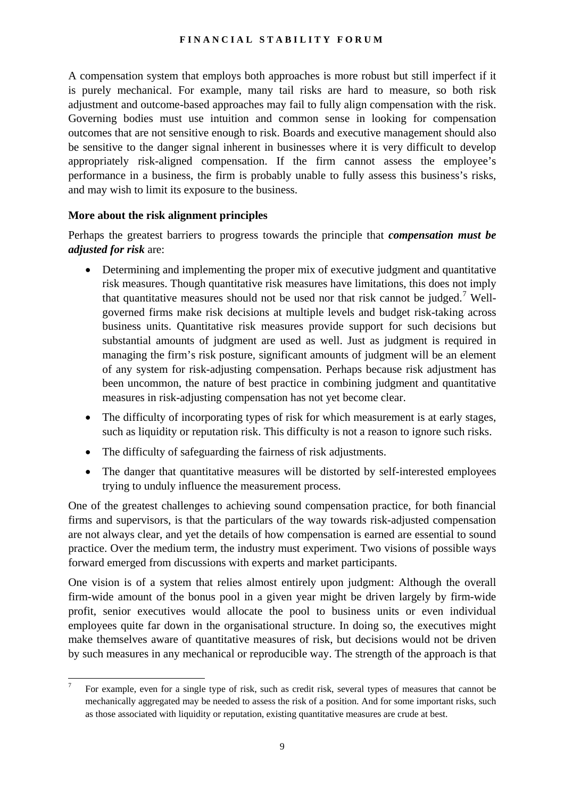A compensation system that employs both approaches is more robust but still imperfect if it is purely mechanical. For example, many tail risks are hard to measure, so both risk adjustment and outcome-based approaches may fail to fully align compensation with the risk. Governing bodies must use intuition and common sense in looking for compensation outcomes that are not sensitive enough to risk. Boards and executive management should also be sensitive to the danger signal inherent in businesses where it is very difficult to develop appropriately risk-aligned compensation. If the firm cannot assess the employee's performance in a business, the firm is probably unable to fully assess this business's risks, and may wish to limit its exposure to the business.

### **More about the risk alignment principles**

Perhaps the greatest barriers to progress towards the principle that *compensation must be adjusted for risk* are:

- Determining and implementing the proper mix of executive judgment and quantitative risk measures. Though quantitative risk measures have limitations, this does not imply that quantitative measures should not be used nor that risk cannot be judged.<sup>[7](#page-10-0)</sup> Wellgoverned firms make risk decisions at multiple levels and budget risk-taking across business units. Quantitative risk measures provide support for such decisions but substantial amounts of judgment are used as well. Just as judgment is required in managing the firm's risk posture, significant amounts of judgment will be an element of any system for risk-adjusting compensation. Perhaps because risk adjustment has been uncommon, the nature of best practice in combining judgment and quantitative measures in risk-adjusting compensation has not yet become clear.
- The difficulty of incorporating types of risk for which measurement is at early stages, such as liquidity or reputation risk. This difficulty is not a reason to ignore such risks.
- The difficulty of safeguarding the fairness of risk adjustments.
- The danger that quantitative measures will be distorted by self-interested employees trying to unduly influence the measurement process.

One of the greatest challenges to achieving sound compensation practice, for both financial firms and supervisors, is that the particulars of the way towards risk-adjusted compensation are not always clear, and yet the details of how compensation is earned are essential to sound practice. Over the medium term, the industry must experiment. Two visions of possible ways forward emerged from discussions with experts and market participants.

One vision is of a system that relies almost entirely upon judgment: Although the overall firm-wide amount of the bonus pool in a given year might be driven largely by firm-wide profit, senior executives would allocate the pool to business units or even individual employees quite far down in the organisational structure. In doing so, the executives might make themselves aware of quantitative measures of risk, but decisions would not be driven by such measures in any mechanical or reproducible way. The strength of the approach is that

<span id="page-10-0"></span><sup>⊤&</sup>lt;br>7 For example, even for a single type of risk, such as credit risk, several types of measures that cannot be mechanically aggregated may be needed to assess the risk of a position. And for some important risks, such as those associated with liquidity or reputation, existing quantitative measures are crude at best.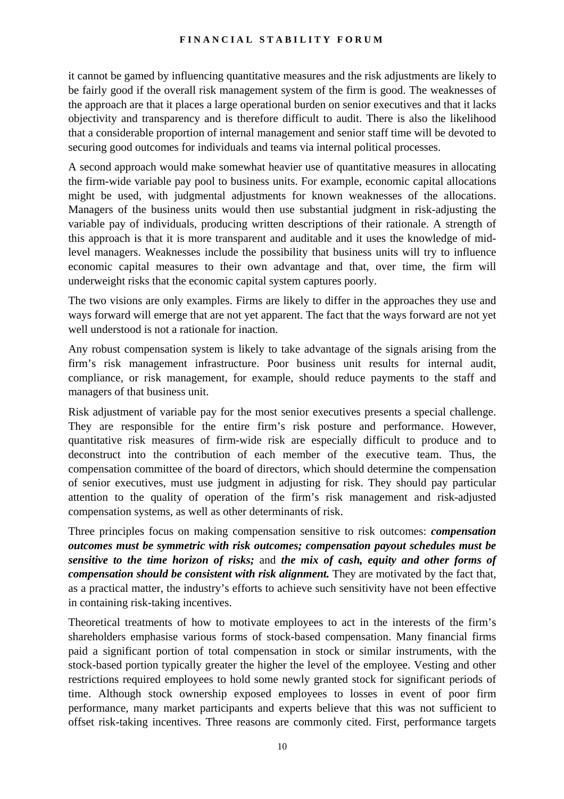it cannot be gamed by influencing quantitative measures and the risk adjustments are likely to be fairly good if the overall risk management system of the firm is good. The weaknesses of the approach are that it places a large operational burden on senior executives and that it lacks objectivity and transparency and is therefore difficult to audit. There is also the likelihood that a considerable proportion of internal management and senior staff time will be devoted to securing good outcomes for individuals and teams via internal political processes.

A second approach would make somewhat heavier use of quantitative measures in allocating the firm-wide variable pay pool to business units. For example, economic capital allocations might be used, with judgmental adjustments for known weaknesses of the allocations. Managers of the business units would then use substantial judgment in risk-adjusting the variable pay of individuals, producing written descriptions of their rationale. A strength of this approach is that it is more transparent and auditable and it uses the knowledge of midlevel managers. Weaknesses include the possibility that business units will try to influence economic capital measures to their own advantage and that, over time, the firm will underweight risks that the economic capital system captures poorly.

The two visions are only examples. Firms are likely to differ in the approaches they use and ways forward will emerge that are not yet apparent. The fact that the ways forward are not yet well understood is not a rationale for inaction.

Any robust compensation system is likely to take advantage of the signals arising from the firm's risk management infrastructure. Poor business unit results for internal audit, compliance, or risk management, for example, should reduce payments to the staff and managers of that business unit.

Risk adjustment of variable pay for the most senior executives presents a special challenge. They are responsible for the entire firm's risk posture and performance. However, quantitative risk measures of firm-wide risk are especially difficult to produce and to deconstruct into the contribution of each member of the executive team. Thus, the compensation committee of the board of directors, which should determine the compensation of senior executives, must use judgment in adjusting for risk. They should pay particular attention to the quality of operation of the firm's risk management and risk-adjusted compensation systems, as well as other determinants of risk.

Three principles focus on making compensation sensitive to risk outcomes: *compensation outcomes must be symmetric with risk outcomes; compensation payout schedules must be sensitive to the time horizon of risks;* and *the mix of cash, equity and other forms of compensation should be consistent with risk alignment.* They are motivated by the fact that, as a practical matter, the industry's efforts to achieve such sensitivity have not been effective in containing risk-taking incentives.

Theoretical treatments of how to motivate employees to act in the interests of the firm's shareholders emphasise various forms of stock-based compensation. Many financial firms paid a significant portion of total compensation in stock or similar instruments, with the stock-based portion typically greater the higher the level of the employee. Vesting and other restrictions required employees to hold some newly granted stock for significant periods of time. Although stock ownership exposed employees to losses in event of poor firm performance, many market participants and experts believe that this was not sufficient to offset risk-taking incentives. Three reasons are commonly cited. First, performance targets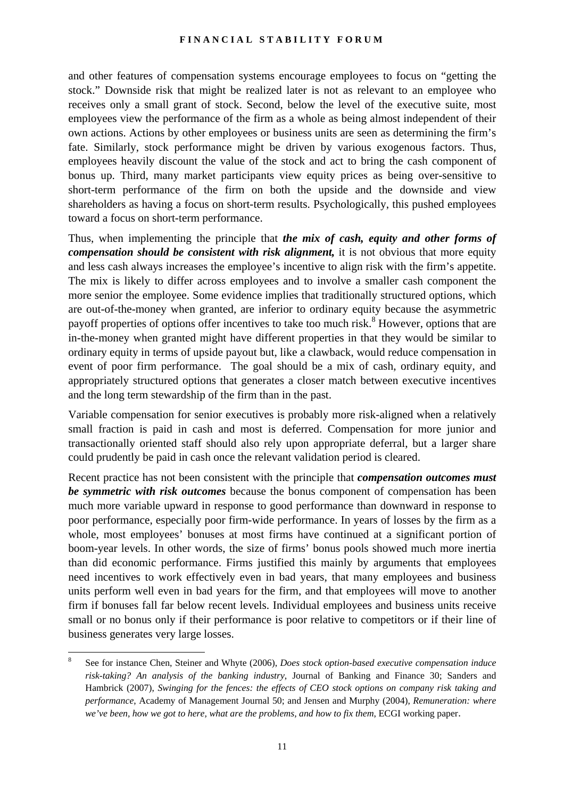and other features of compensation systems encourage employees to focus on "getting the stock." Downside risk that might be realized later is not as relevant to an employee who receives only a small grant of stock. Second, below the level of the executive suite, most employees view the performance of the firm as a whole as being almost independent of their own actions. Actions by other employees or business units are seen as determining the firm's fate. Similarly, stock performance might be driven by various exogenous factors. Thus, employees heavily discount the value of the stock and act to bring the cash component of bonus up. Third, many market participants view equity prices as being over-sensitive to short-term performance of the firm on both the upside and the downside and view shareholders as having a focus on short-term results. Psychologically, this pushed employees toward a focus on short-term performance.

Thus, when implementing the principle that *the mix of cash, equity and other forms of compensation should be consistent with risk alignment,* it is not obvious that more equity and less cash always increases the employee's incentive to align risk with the firm's appetite. The mix is likely to differ across employees and to involve a smaller cash component the more senior the employee. Some evidence implies that traditionally structured options, which are out-of-the-money when granted, are inferior to ordinary equity because the asymmetric payoff properties of options offer incentives to take too much risk.<sup>[8](#page-12-0)</sup> However, options that are in-the-money when granted might have different properties in that they would be similar to ordinary equity in terms of upside payout but, like a clawback, would reduce compensation in event of poor firm performance. The goal should be a mix of cash, ordinary equity, and appropriately structured options that generates a closer match between executive incentives and the long term stewardship of the firm than in the past.

Variable compensation for senior executives is probably more risk-aligned when a relatively small fraction is paid in cash and most is deferred. Compensation for more junior and transactionally oriented staff should also rely upon appropriate deferral, but a larger share could prudently be paid in cash once the relevant validation period is cleared.

Recent practice has not been consistent with the principle that *compensation outcomes must be symmetric with risk outcomes* because the bonus component of compensation has been much more variable upward in response to good performance than downward in response to poor performance, especially poor firm-wide performance. In years of losses by the firm as a whole, most employees' bonuses at most firms have continued at a significant portion of boom-year levels. In other words, the size of firms' bonus pools showed much more inertia than did economic performance. Firms justified this mainly by arguments that employees need incentives to work effectively even in bad years, that many employees and business units perform well even in bad years for the firm, and that employees will move to another firm if bonuses fall far below recent levels. Individual employees and business units receive small or no bonus only if their performance is poor relative to competitors or if their line of business generates very large losses.

l

<span id="page-12-0"></span><sup>8</sup> See for instance Chen, Steiner and Whyte (2006), *Does stock option-based executive compensation induce risk-taking? An analysis of the banking industry*, Journal of Banking and Finance 30; Sanders and Hambrick (2007), *Swinging for the fences: the effects of CEO stock options on company risk taking and performance*, Academy of Management Journal 50; and Jensen and Murphy (2004), *Remuneration: where we've been, how we got to here, what are the problems, and how to fix them*, ECGI working paper.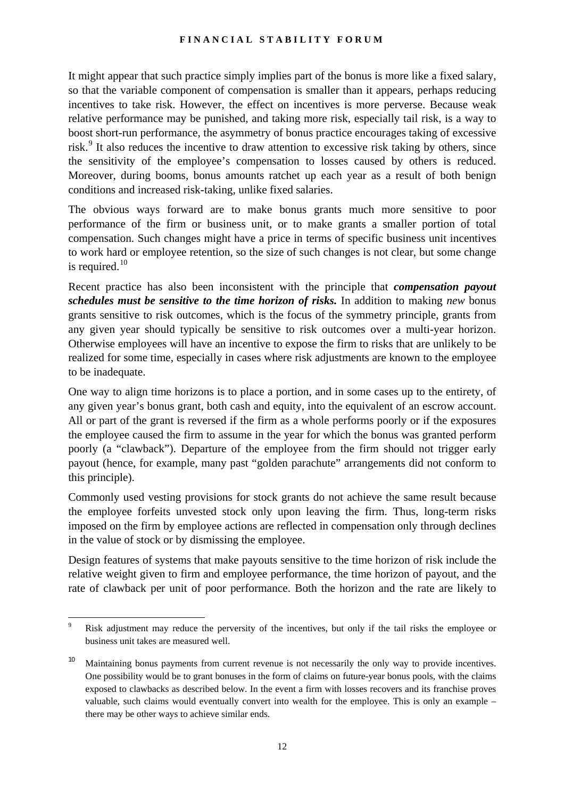It might appear that such practice simply implies part of the bonus is more like a fixed salary, so that the variable component of compensation is smaller than it appears, perhaps reducing incentives to take risk. However, the effect on incentives is more perverse. Because weak relative performance may be punished, and taking more risk, especially tail risk, is a way to boost short-run performance, the asymmetry of bonus practice encourages taking of excessive risk.<sup>[9](#page-13-0)</sup> It also reduces the incentive to draw attention to excessive risk taking by others, since the sensitivity of the employee's compensation to losses caused by others is reduced. Moreover, during booms, bonus amounts ratchet up each year as a result of both benign conditions and increased risk-taking, unlike fixed salaries.

The obvious ways forward are to make bonus grants much more sensitive to poor performance of the firm or business unit, or to make grants a smaller portion of total compensation. Such changes might have a price in terms of specific business unit incentives to work hard or employee retention, so the size of such changes is not clear, but some change is required.<sup>10</sup>

Recent practice has also been inconsistent with the principle that *compensation payout schedules must be sensitive to the time horizon of risks.* In addition to making *new* bonus grants sensitive to risk outcomes, which is the focus of the symmetry principle, grants from any given year should typically be sensitive to risk outcomes over a multi-year horizon. Otherwise employees will have an incentive to expose the firm to risks that are unlikely to be realized for some time, especially in cases where risk adjustments are known to the employee to be inadequate.

One way to align time horizons is to place a portion, and in some cases up to the entirety, of any given year's bonus grant, both cash and equity, into the equivalent of an escrow account. All or part of the grant is reversed if the firm as a whole performs poorly or if the exposures the employee caused the firm to assume in the year for which the bonus was granted perform poorly (a "clawback"). Departure of the employee from the firm should not trigger early payout (hence, for example, many past "golden parachute" arrangements did not conform to this principle).

Commonly used vesting provisions for stock grants do not achieve the same result because the employee forfeits unvested stock only upon leaving the firm. Thus, long-term risks imposed on the firm by employee actions are reflected in compensation only through declines in the value of stock or by dismissing the employee.

Design features of systems that make payouts sensitive to the time horizon of risk include the relative weight given to firm and employee performance, the time horizon of payout, and the rate of clawback per unit of poor performance. Both the horizon and the rate are likely to

 $\overline{\phantom{a}}$ 

<span id="page-13-0"></span><sup>9</sup> Risk adjustment may reduce the perversity of the incentives, but only if the tail risks the employee or business unit takes are measured well.

<span id="page-13-1"></span><sup>&</sup>lt;sup>10</sup> Maintaining bonus payments from current revenue is not necessarily the only way to provide incentives. One possibility would be to grant bonuses in the form of claims on future-year bonus pools, with the claims exposed to clawbacks as described below. In the event a firm with losses recovers and its franchise proves valuable, such claims would eventually convert into wealth for the employee. This is only an example – there may be other ways to achieve similar ends.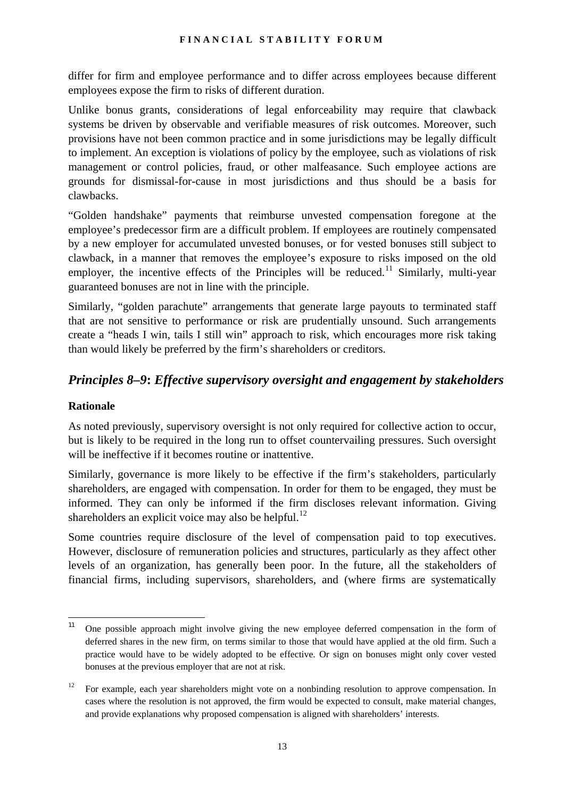differ for firm and employee performance and to differ across employees because different employees expose the firm to risks of different duration.

Unlike bonus grants, considerations of legal enforceability may require that clawback systems be driven by observable and verifiable measures of risk outcomes. Moreover, such provisions have not been common practice and in some jurisdictions may be legally difficult to implement. An exception is violations of policy by the employee, such as violations of risk management or control policies, fraud, or other malfeasance. Such employee actions are grounds for dismissal-for-cause in most jurisdictions and thus should be a basis for clawbacks.

"Golden handshake" payments that reimburse unvested compensation foregone at the employee's predecessor firm are a difficult problem. If employees are routinely compensated by a new employer for accumulated unvested bonuses, or for vested bonuses still subject to clawback, in a manner that removes the employee's exposure to risks imposed on the old employer, the incentive effects of the Principles will be reduced.<sup>[11](#page-14-0)</sup> Similarly, multi-vear guaranteed bonuses are not in line with the principle.

Similarly, "golden parachute" arrangements that generate large payouts to terminated staff that are not sensitive to performance or risk are prudentially unsound. Such arrangements create a "heads I win, tails I still win" approach to risk, which encourages more risk taking than would likely be preferred by the firm's shareholders or creditors.

# *Principles 8–9***:** *Effective supervisory oversight and engagement by stakeholders*

## **Rationale**

As noted previously, supervisory oversight is not only required for collective action to occur, but is likely to be required in the long run to offset countervailing pressures. Such oversight will be ineffective if it becomes routine or inattentive.

Similarly, governance is more likely to be effective if the firm's stakeholders, particularly shareholders, are engaged with compensation. In order for them to be engaged, they must be informed. They can only be informed if the firm discloses relevant information. Giving shareholders an explicit voice may also be helpful.<sup>[12](#page-14-1)</sup>

Some countries require disclosure of the level of compensation paid to top executives. However, disclosure of remuneration policies and structures, particularly as they affect other levels of an organization, has generally been poor. In the future, all the stakeholders of financial firms, including supervisors, shareholders, and (where firms are systematically

<span id="page-14-0"></span> $11$ 11 One possible approach might involve giving the new employee deferred compensation in the form of deferred shares in the new firm, on terms similar to those that would have applied at the old firm. Such a practice would have to be widely adopted to be effective. Or sign on bonuses might only cover vested bonuses at the previous employer that are not at risk.

<span id="page-14-1"></span><sup>&</sup>lt;sup>12</sup> For example, each year shareholders might vote on a nonbinding resolution to approve compensation. In cases where the resolution is not approved, the firm would be expected to consult, make material changes, and provide explanations why proposed compensation is aligned with shareholders' interests.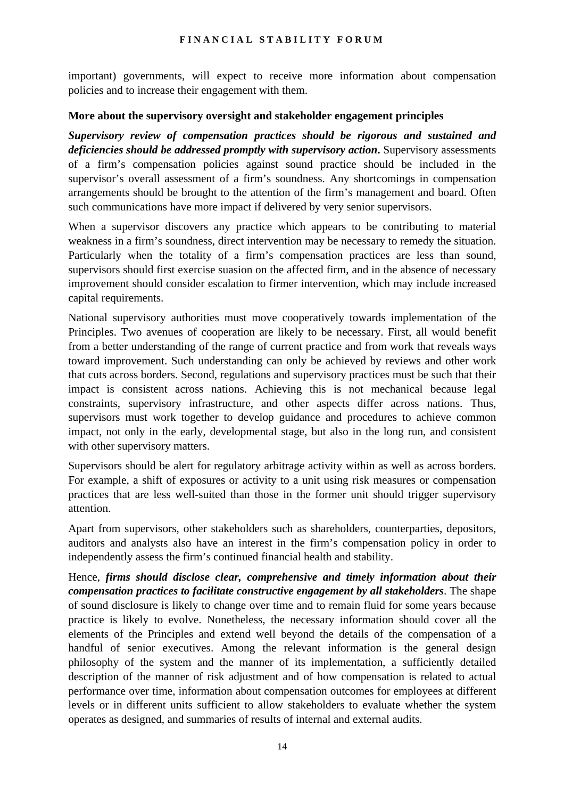important) governments, will expect to receive more information about compensation policies and to increase their engagement with them.

### **More about the supervisory oversight and stakeholder engagement principles**

*Supervisory review of compensation practices should be rigorous and sustained and deficiencies should be addressed promptly with supervisory action***.** Supervisory assessments of a firm's compensation policies against sound practice should be included in the supervisor's overall assessment of a firm's soundness. Any shortcomings in compensation arrangements should be brought to the attention of the firm's management and board. Often such communications have more impact if delivered by very senior supervisors.

When a supervisor discovers any practice which appears to be contributing to material weakness in a firm's soundness, direct intervention may be necessary to remedy the situation. Particularly when the totality of a firm's compensation practices are less than sound, supervisors should first exercise suasion on the affected firm, and in the absence of necessary improvement should consider escalation to firmer intervention, which may include increased capital requirements.

National supervisory authorities must move cooperatively towards implementation of the Principles. Two avenues of cooperation are likely to be necessary. First, all would benefit from a better understanding of the range of current practice and from work that reveals ways toward improvement. Such understanding can only be achieved by reviews and other work that cuts across borders. Second, regulations and supervisory practices must be such that their impact is consistent across nations. Achieving this is not mechanical because legal constraints, supervisory infrastructure, and other aspects differ across nations. Thus, supervisors must work together to develop guidance and procedures to achieve common impact, not only in the early, developmental stage, but also in the long run, and consistent with other supervisory matters.

Supervisors should be alert for regulatory arbitrage activity within as well as across borders. For example, a shift of exposures or activity to a unit using risk measures or compensation practices that are less well-suited than those in the former unit should trigger supervisory attention.

Apart from supervisors, other stakeholders such as shareholders, counterparties, depositors, auditors and analysts also have an interest in the firm's compensation policy in order to independently assess the firm's continued financial health and stability.

Hence, *firms should disclose clear, comprehensive and timely information about their compensation practices to facilitate constructive engagement by all stakeholders*. The shape of sound disclosure is likely to change over time and to remain fluid for some years because practice is likely to evolve. Nonetheless, the necessary information should cover all the elements of the Principles and extend well beyond the details of the compensation of a handful of senior executives. Among the relevant information is the general design philosophy of the system and the manner of its implementation, a sufficiently detailed description of the manner of risk adjustment and of how compensation is related to actual performance over time, information about compensation outcomes for employees at different levels or in different units sufficient to allow stakeholders to evaluate whether the system operates as designed, and summaries of results of internal and external audits.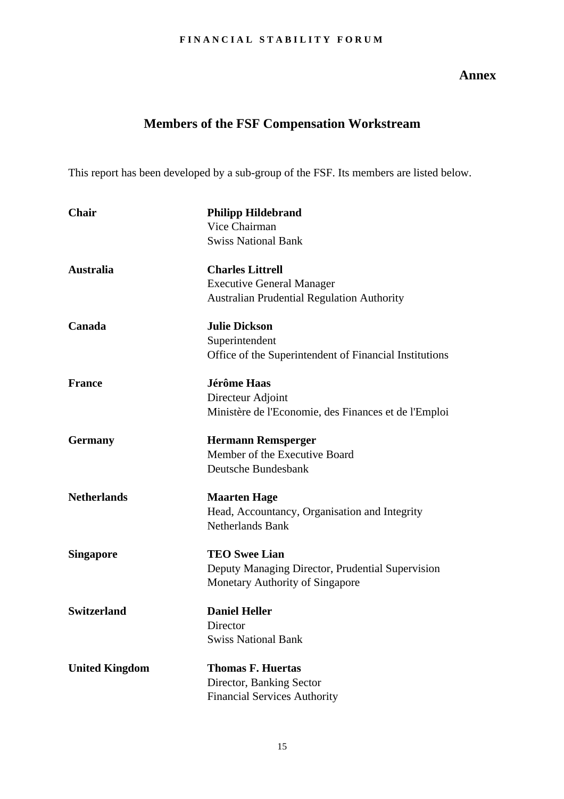### **Annex**

# **Members of the FSF Compensation Workstream**

<span id="page-16-0"></span>This report has been developed by a sub-group of the FSF. Its members are listed below.

| <b>Chair</b>          | <b>Philipp Hildebrand</b>                              |
|-----------------------|--------------------------------------------------------|
|                       | Vice Chairman                                          |
|                       | <b>Swiss National Bank</b>                             |
| <b>Australia</b>      | <b>Charles Littrell</b>                                |
|                       | <b>Executive General Manager</b>                       |
|                       | <b>Australian Prudential Regulation Authority</b>      |
| Canada                | <b>Julie Dickson</b>                                   |
|                       | Superintendent                                         |
|                       | Office of the Superintendent of Financial Institutions |
| <b>France</b>         | <b>Jérôme Haas</b>                                     |
|                       | Directeur Adjoint                                      |
|                       | Ministère de l'Economie, des Finances et de l'Emploi   |
| <b>Germany</b>        | <b>Hermann Remsperger</b>                              |
|                       | Member of the Executive Board                          |
|                       | Deutsche Bundesbank                                    |
| <b>Netherlands</b>    | <b>Maarten Hage</b>                                    |
|                       | Head, Accountancy, Organisation and Integrity          |
|                       | <b>Netherlands Bank</b>                                |
| <b>Singapore</b>      | <b>TEO Swee Lian</b>                                   |
|                       | Deputy Managing Director, Prudential Supervision       |
|                       | Monetary Authority of Singapore                        |
| <b>Switzerland</b>    | <b>Daniel Heller</b>                                   |
|                       | Director                                               |
|                       | <b>Swiss National Bank</b>                             |
| <b>United Kingdom</b> | <b>Thomas F. Huertas</b>                               |
|                       | Director, Banking Sector                               |
|                       | <b>Financial Services Authority</b>                    |